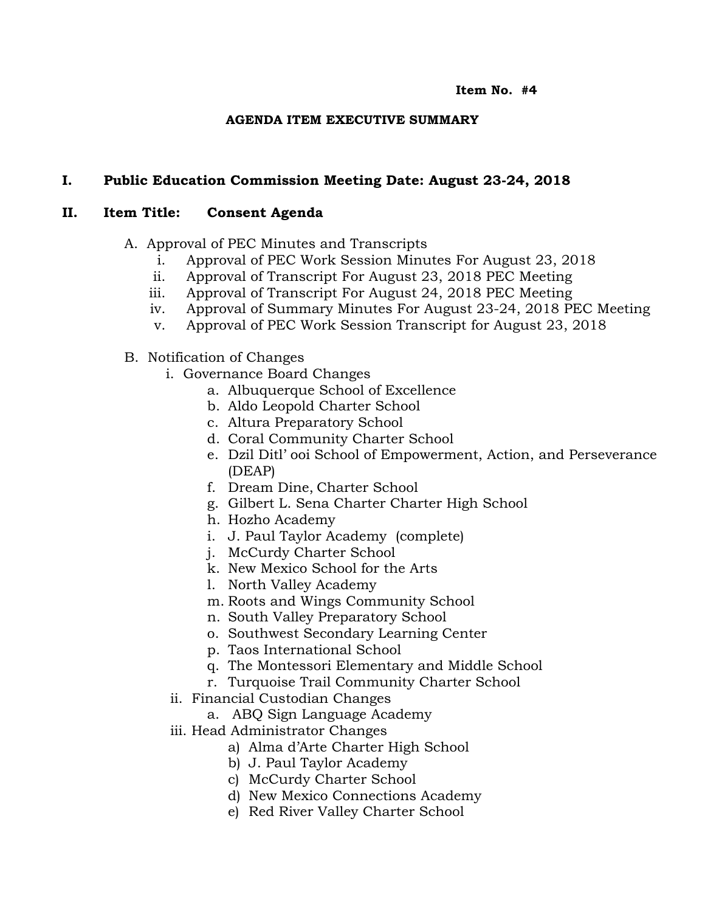#### **Item No. #4**

## **AGENDA ITEM EXECUTIVE SUMMARY**

# **I. Public Education Commission Meeting Date: August 23-24, 2018**

### **II. Item Title: Consent Agenda**

- A. Approval of PEC Minutes and Transcripts
	- i. Approval of PEC Work Session Minutes For August 23, 2018
	- ii. Approval of Transcript For August 23, 2018 PEC Meeting
	- iii. Approval of Transcript For August 24, 2018 PEC Meeting
	- iv. Approval of Summary Minutes For August 23-24, 2018 PEC Meeting
	- v. Approval of PEC Work Session Transcript for August 23, 2018
- B. Notification of Changes
	- i. Governance Board Changes
		- a. Albuquerque School of Excellence
		- b. Aldo Leopold Charter School
		- c. Altura Preparatory School
		- d. Coral Community Charter School
		- e. Dzil Ditl' ooi School of Empowerment, Action, and Perseverance (DEAP)
		- f. Dream Dine, Charter School
		- g. Gilbert L. Sena Charter Charter High School
		- h. Hozho Academy
		- i. J. Paul Taylor Academy (complete)
		- j. McCurdy Charter School
		- k. New Mexico School for the Arts
		- l. North Valley Academy
		- m. Roots and Wings Community School
		- n. South Valley Preparatory School
		- o. Southwest Secondary Learning Center
		- p. Taos International School
		- q. The Montessori Elementary and Middle School
		- r. Turquoise Trail Community Charter School
	- ii. Financial Custodian Changes
		- a. ABQ Sign Language Academy
	- iii. Head Administrator Changes
		- a) Alma d'Arte Charter High School
		- b) J. Paul Taylor Academy
		- c) McCurdy Charter School
		- d) New Mexico Connections Academy
		- e) Red River Valley Charter School